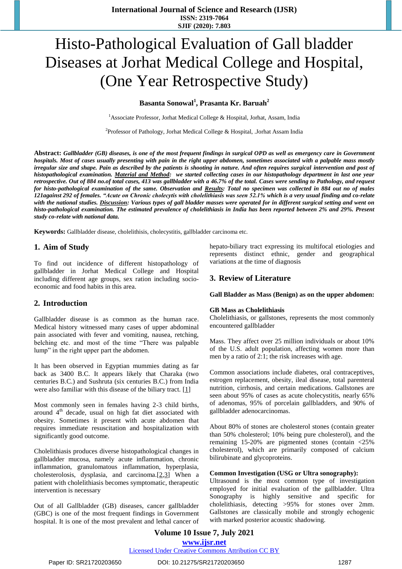# Histo-Pathological Evaluation of Gall bladder Diseases at Jorhat Medical College and Hospital, (One Year Retrospective Study)

## **Basanta Sonowal<sup>1</sup> , Prasanta Kr. Baruah<sup>2</sup>**

<sup>1</sup>Associate Professor, Jorhat Medical College & Hospital, Jorhat, Assam, India

<sup>2</sup> Professor of Pathology, Jorhat Medical College & Hospital, .Jorhat Assam India

**Abstract:** *Gallbladder (GB) diseases, is one of the most frequent findings in surgical OPD as well as emergency care in Government hospitals. Most of cases usually presenting with pain in the right upper abdomen, sometimes associated with a palpable mass mostly irregular size and shape. Pain as described by the patients is shooting in nature. And often requires surgical intervention and post of histopathological examination. Material and Method: we started collecting cases in our histopathology department in last one year retrospective. Out of 884 no.of total cases, 413 was gallbladder with a 46.7% of the total. Cases were sending to Pathology, and request for histo-pathological examination of the same. Observation and Results: Total no specimen was collected in 884 out no of males 121against 292 of females. "Acute on Chronic cholecytis with cholelithiasis was seen 52.1% which is a very usual finding and co-relate with the national studies. Discussion: Various types of gall bladder masses were operated for in different surgical setting and went on histo-pathological examination. The estimated prevalence of cholelithiasis in India has been reported between 2% and 29%. Present study co-relate with national data.*

**Keywords:** Gallbladder disease, cholelithisis, cholecystitis, gallbladder carcinoma etc.

## **1. Aim of Study**

To find out incidence of different histopathology of gallbladder in Jorhat Medical College and Hospital including different age groups, sex ration including socioeconomic and food habits in this area.

## **2. Introduction**

Gallbladder disease is as common as the human race. Medical history witnessed many cases of upper abdominal pain associated with fever and vomiting, nausea, retching, belching etc. and most of the time "There was palpable lump" in the right upper part the abdomen.

It has been observed in Egyptian mummies dating as far back as 3400 B.C. It appears likely that Charaka (two centuries B.C.) and Sushruta (six centuries B.C.) from India were also familiar with this disease of the biliary tract. [\[1\]](https://www.ncbi.nlm.nih.gov/pmc/articles/PMC6452760/#ref1)

Most commonly seen in females having 2-3 child births, around 4<sup>th</sup> decade, usual on high fat diet associated with obesity. Sometimes it present with acute abdomen that requires immediate resuscitation and hospitalization with significantly good outcome.

Cholelithiasis produces diverse histopathological changes in gallbladder mucosa, namely acute inflammation, chronic inflammation, granulomatous inflammation, hyperplasia, cholesterolosis, dysplasia, and carcinoma. $[2,3]$  $[2,3]$  When a patient with cholelithiasis becomes symptomatic, therapeutic intervention is necessary

Out of all Gallbladder (GB) diseases, cancer gallbladder (GBC) is one of the most frequent findings in Government hospital. It is one of the most prevalent and lethal cancer of hepato-biliary tract expressing its multifocal etiologies and represents distinct ethnic, gender and geographical variations at the time of diagnosis

## **3. Review of Literature**

#### **Gall Bladder as Mass (Benign) as on the upper abdomen:**

## **GB Mass as Cholelithiasis**

Cholelithiasis, or gallstones, represents the most commonly encountered gallbladder

Mass. They affect over 25 million individuals or about 10% of the U.S. adult population, affecting women more than men by a ratio of 2:1; the risk increases with age.

Common associations include diabetes, oral contraceptives, estrogen replacement, obesity, ileal disease, total parenteral nutrition, cirrhosis, and certain medications. Gallstones are seen about 95% of cases as acute cholecystitis, nearly 65% of adenomas, 95% of porcelain gallbladders, and 90% of gallbladder adenocarcinomas.

About 80% of stones are cholesterol stones (contain greater than 50% cholesterol; 10% being pure cholesterol), and the remaining 15-20% are pigmented stones (contain <25% cholesterol), which are primarily composed of calcium bilirubinate and glycoproteins.

#### **Common Investigation (USG or Ultra sonography):**

Ultrasound is the most common type of investigation employed for initial evaluation of the gallbladder. Ultra Sonography is highly sensitive and specific for cholelithiasis, detecting >95% for stones over 2mm. Gallstones are classically mobile and strongly echogenic with marked posterior acoustic shadowing.

**Volume 10 Issue 7, July 2021 www.ijsr.net** Licensed Under Creative Commons Attribution CC BY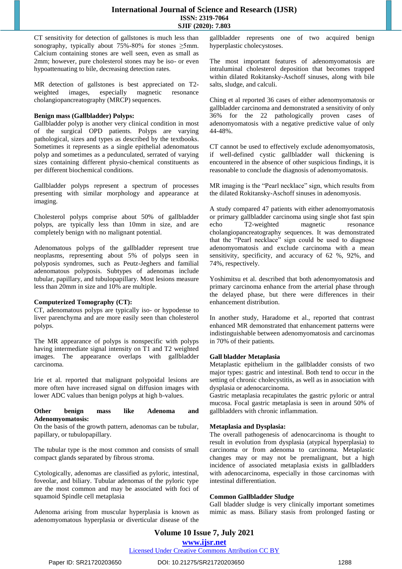CT sensitivity for detection of gallstones is much less than sonography, typically about 75%-80% for stones ≥5mm. Calcium containing stones are well seen, even as small as 2mm; however, pure cholesterol stones may be iso- or even hypoattenuating to bile, decreasing detection rates.

MR detection of gallstones is best appreciated on T2 weighted images, especially magnetic resonance cholangiopancreatography (MRCP) sequences.

#### **Benign mass (Gallbladder) Polyps:**

Gallbladder polyp is another very clinical condition in most of the surgical OPD patients. Polyps are varying pathological, sizes and types as described by the textbooks. Sometimes it represents as a single epithelial adenomatous polyp and sometimes as a pedunculated, serrated of varying sizes containing different physio-chemical constituents as per different biochemical conditions.

Gallbladder polyps represent a spectrum of processes presenting with similar morphology and appearance at imaging.

Cholesterol polyps comprise about 50% of gallbladder polyps, are typically less than 10mm in size, and are completely benign with no malignant potential.

Adenomatous polyps of the gallbladder represent true neoplasms, representing about 5% of polyps seen in polyposis syndromes, such as Peutz-Jeghers and familial adenomatous polyposis. Subtypes of adenomas include tubular, papillary, and tubulopapillary. Most lesions measure less than 20mm in size and 10% are multiple.

#### **Computerized Tomography (CT):**

CT, adenomatous polyps are typically iso- or hypodense to liver parenchyma and are more easily seen than cholesterol polyps.

The MR appearance of polyps is nonspecific with polyps having intermediate signal intensity on T1 and T2 weighted images. The appearance overlaps with gallbladder carcinoma.

Irie et al. reported that malignant polypoidal lesions are more often have increased signal on diffusion images with lower ADC values than benign polyps at high b-values.

#### **Other benign mass like Adenoma and Adenomyomatosis:**

On the basis of the growth pattern, adenomas can be tubular, papillary, or tubulopapillary.

The tubular type is the most common and consists of small compact glands separated by fibrous stroma.

Cytologically, adenomas are classified as pyloric, intestinal, foveolar, and biliary. Tubular adenomas of the pyloric type are the most common and may be associated with foci of squamoid Spindle cell metaplasia

Adenoma arising from muscular hyperplasia is known as adenomyomatous hyperplasia or diverticular disease of the

gallbladder represents one of two acquired benign hyperplastic cholecystoses.

The most important features of adenomyomatosis are intraluminal cholesterol deposition that becomes trapped within dilated Rokitansky-Aschoff sinuses, along with bile salts, sludge, and calculi.

Ching et al reported 36 cases of either adenomyomatosis or gallbladder carcinoma and demonstrated a sensitivity of only 36% for the 22 pathologically proven cases of adenomyomatosis with a negative predictive value of only 44-48%.

CT cannot be used to effectively exclude adenomyomatosis, if well-defined cystic gallbladder wall thickening is encountered in the absence of other suspicious findings, it is reasonable to conclude the diagnosis of adenomyomatosis.

MR imaging is the "Pearl necklace" sign, which results from the dilated Rokitansky-Aschoff sinuses in adenomyosis.

A study compared 47 patients with either adenomyomatosis or primary gallbladder carcinoma using single shot fast spin echo T2-weighted magnetic resonance cholangiopancreatography sequences. It was demonstrated that the "Pearl necklace" sign could be used to diagnose adenomyomatosis and exclude carcinoma with a mean sensitivity, specificity, and accuracy of 62 %, 92%, and 74%, respectively.

Yoshimitsu et al. described that both adenomyomatosis and primary carcinoma enhance from the arterial phase through the delayed phase, but there were differences in their enhancement distribution.

In another study, Haradome et al., reported that contrast enhanced MR demonstrated that enhancement patterns were indistinguishable between adenomyomatosis and carcinomas in 70% of their patients.

#### **Gall bladder Metaplasia**

Metaplastic epithelium in the gallbladder consists of two major types: gastric and intestinal. Both tend to occur in the setting of chronic cholecystitis, as well as in association with dysplasia or adenocarcinoma.

Gastric metaplasia recapitulates the gastric pyloric or antral mucosa. Focal gastric metaplasia is seen in around 50% of gallbladders with chronic inflammation.

#### **Metaplasia and Dysplasia:**

The overall pathogenesis of adenocarcinoma is thought to result in evolution from dysplasia (atypical hyperplasia) to carcinoma or from adenoma to carcinoma. Metaplastic changes may or may not be premalignant, but a high incidence of associated metaplasia exists in gallbladders with adenocarcinoma, especially in those carcinomas with intestinal differentiation.

#### **Common Gallbladder Sludge**

Gall bladder sludge is very clinically important sometimes mimic as mass. Biliary stasis from prolonged fasting or

Paper ID: SR21720203650 DOI: 10.21275/SR21720203650 1288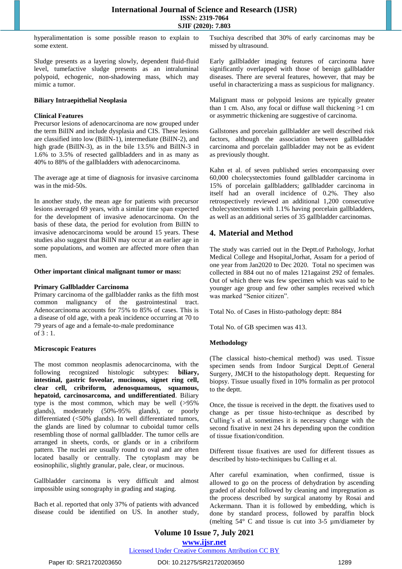hyperalimentation is some possible reason to explain to some extent.

Sludge presents as a layering slowly, dependent fluid-fluid level, tumefactive sludge presents as an intraluminal polypoid, echogenic, non-shadowing mass, which may mimic a tumor.

#### **Biliary Intraepithelial Neoplasia**

#### **Clinical Features**

Precursor lesions of adenocarcinoma are now grouped under the term BilIN and include dysplasia and CIS. These lesions are classified into low (BilIN-1), intermediate (BilIN-2), and high grade (BilIN-3), as in the bile 13.5% and BilIN-3 in 1.6% to 3.5% of resected gallbladders and in as many as 40% to 88% of the gallbladders with adenocarcinoma.

The average age at time of diagnosis for invasive carcinoma was in the mid-50s.

In another study, the mean age for patients with precursor lesions averaged 69 years, with a similar time span expected for the development of invasive adenocarcinoma. On the basis of these data, the period for evolution from BilIN to invasive adenocarcinoma would be around 15 years. These studies also suggest that BilIN may occur at an earlier age in some populations, and women are affected more often than men.

#### **Other important clinical malignant tumor or mass:**

#### **Primary Gallbladder Carcinoma**

Primary carcinoma of the gallbladder ranks as the fifth most common malignancy of the gastrointestinal tract. Adenocarcinoma accounts for 75% to 85% of cases. This is a disease of old age, with a peak incidence occurring at 70 to 79 years of age and a female-to-male predominance of 3 : 1.

#### **Microscopic Features**

The most common neoplasmis adenocarcinoma, with the following recognized histologic subtypes: **biliary, intestinal, gastric foveolar, mucinous, signet ring cell, clear cell, cribriform, adenosquamous, squamous, hepatoid, carcinosarcoma, and undifferentiated**. Biliary type is the most common, which may be well (>95% glands), moderately (50%-95% glands), or poorly differentiated (<50% glands). In well differentiated tumors, the glands are lined by columnar to cuboidal tumor cells resembling those of normal gallbladder. The tumor cells are arranged in sheets, cords, or glands or in a cribriform pattern. The nuclei are usually round to oval and are often located basally or centrally. The cytoplasm may be eosinophilic, slightly granular, pale, clear, or mucinous.

Gallbladder carcinoma is very difficult and almost impossible using sonography in grading and staging.

Bach et al. reported that only 37% of patients with advanced disease could be identified on US. In another study,

Tsuchiya described that 30% of early carcinomas may be missed by ultrasound.

Early gallbladder imaging features of carcinoma have significantly overlapped with those of benign gallbladder diseases. There are several features, however, that may be useful in characterizing a mass as suspicious for malignancy.

Malignant mass or polypoid lesions are typically greater than 1 cm. Also, any focal or diffuse wall thickening >1 cm or asymmetric thickening are suggestive of carcinoma.

Gallstones and porcelain gallbladder are well described risk factors, although the association between gallbladder carcinoma and porcelain gallbladder may not be as evident as previously thought.

Kahn et al. of seven published series encompassing over 60,000 cholecystectomies found gallbladder carcinoma in 15% of porcelain gallbladders; gallbladder carcinoma in itself had an overall incidence of 0.2%. They also retrospectively reviewed an additional 1,200 consecutive cholecystectomies with 1.1% having porcelain gallbladders, as well as an additional series of 35 gallbladder carcinomas.

# **4. Material and Method**

The study was carried out in the Deptt.of Pathology, Jorhat Medical College and Hsopital,Jorhat, Assam for a period of one year from Jan2020 to Dec 2020. Total no specimen was collected in 884 out no of males 121against 292 of females. Out of which there was few specimen which was said to be younger age group and few other samples received which was marked "Senior citizen".

Total No. of Cases in Histo-pathology deptt: 884

Total No. of GB specimen was 413.

#### **Methodology**

(The classical histo-chemical method) was used. Tissue specimen sends from Indoor Surgical Deptt.of General Surgery, JMCH to the histopathology deptt. Requesting for biopsy. Tissue usually fixed in 10% formalin as per protocol to the deptt.

Once, the tissue is received in the deptt. the fixatives used to change as per tissue histo-technique as described by Culling's el al. sometimes it is necessary change with the second fixative in next 24 hrs depending upon the condition of tissue fixation/condition.

Different tissue fixatives are used for different tissues as described by histo-techiniques bu Culling et al.

After careful examination, when confirmed, tissue is allowed to go on the process of dehydration by ascending graded of alcohol followed by cleaning and impregnation as the process described by surgical anatomy by Rosai and Ackermann. Than it is followed by embedding, which is done by standard process, followed by paraffin block (melting 54° C and tissue is cut into 3-5 µm/diameter by

**Volume 10 Issue 7, July 2021 www.ijsr.net**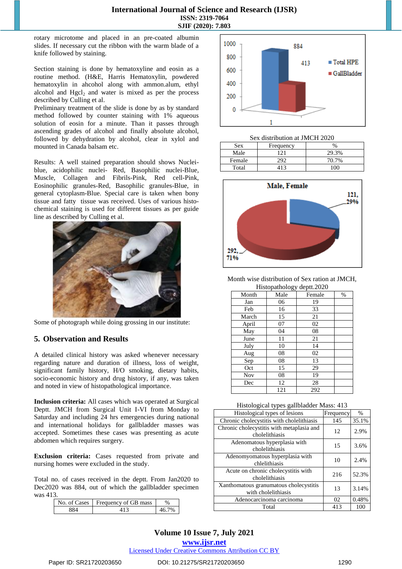## **International Journal of Science and Research (IJSR) ISSN: 2319-7064 SJIF (2020): 7.803**

rotary microtome and placed in an pre-coated albumin slides. If necessary cut the ribbon with the warm blade of a knife followed by staining.

Section staining is done by hematoxyline and eosin as a routine method. (H&E, Harris Hematoxylin, powdered hematoxylin in ahcohol along with ammon.alum, ethyl alcohol and  $Hgcl<sub>2</sub>$  and water is mixed as per the process described by Culling et al.

Preliminary treatment of the slide is done by as by standard method followed by counter staining with 1% aqueous solution of eosin for a minute. Than it passes through ascending grades of alcohol and finally absolute alcohol, followed by dehydration by alcohol, clear in xylol and mounted in Canada balsam etc.

Results: A well stained preparation should shows Nucleiblue, acidophilic nuclei- Red, Basophilic nuclei-Blue, Muscle, Collagen and Fibrils-Pink, Red cell-Pink, Eosinophilic granules-Red, Basophilic granules-Blue, in general cytoplasm-Blue. Special care is taken when bony tissue and fatty tissue was received. Uses of various histochemical staining is used for different tissues as per guide line as described by Culling et al.



Some of photograph while doing grossing in our institute:

# **5. Observation and Results**

A detailed clinical history was asked whenever necessary regarding nature and duration of illness, loss of weight, significant family history, H/O smoking, dietary habits, socio-economic history and drug history, if any, was taken and noted in view of histopathological importance.

**Inclusion criteria:** All cases which was operated at Surgical Deptt. JMCH from Surgical Unit I-VI from Monday to Saturday and including 24 hrs emergencies during national and international holidays for gallbladder masses was accepted. Sometimes these cases was presenting as acute abdomen which requires surgery.

**Exclusion criteria:** Cases requested from private and nursing homes were excluded in the study.

Total no. of cases received in the deptt. From Jan2020 to Dec2020 was 884, out of which the gallbladder specimen was 413.

| No. of Cases   Frequency of GB mass |  |
|-------------------------------------|--|
|                                     |  |



| Sex    | Frequency       | $\%$  |  |  |  |
|--------|-----------------|-------|--|--|--|
| Male   | $\mathcal{D}$ 1 | 29.3% |  |  |  |
| Female | 00٬             | 70.7% |  |  |  |
| Total  |                 |       |  |  |  |



Month wise distribution of Sex ration at JMCH, Histopathology deptt.2020

| Histopathology deptt.2020 |      |        |      |  |  |  |
|---------------------------|------|--------|------|--|--|--|
| Month                     | Male | Female | $\%$ |  |  |  |
| Jan                       | 06   | 19     |      |  |  |  |
| Feb                       | 16   | 33     |      |  |  |  |
| March                     | 15   | 21     |      |  |  |  |
| April                     | 07   | 02     |      |  |  |  |
| May                       | 04   | 08     |      |  |  |  |
| June                      | 11   | 21     |      |  |  |  |
| July                      | 10   | 14     |      |  |  |  |
| Aug                       | 08   | 02     |      |  |  |  |
| Sep                       | 08   | 13     |      |  |  |  |
| Oct                       | 15   | 29     |      |  |  |  |
| <b>Nov</b>                | 08   | 19     |      |  |  |  |
| Dec                       | 12   | 28     |      |  |  |  |
|                           | 121  | 292    |      |  |  |  |

#### Histological types gallbladder Mass: 413

| Histological types of lesions                                 | Frequency | $\%$  |
|---------------------------------------------------------------|-----------|-------|
| Chronic cholecystitis with cholelithiasis                     | 145       | 35.1% |
| Chronic cholecystitis with metaplasia and<br>cholelithiasis   | 12        | 2.9%  |
| Adenomatous hyperplasia with<br>cholelithiasis                | 15        | 3.6%  |
| Adenomyomatous hyperplasia with<br>chlelithiasis              | 10        | 2.4%  |
| Acute on chronic cholecystitis with<br>cholelithiasis         | 216       | 52.3% |
| Xanthomatous granumatous cholecystitis<br>with cholelithiasis | 13        | 3.14% |
| Adenocarcinoma carcinoma                                      | 02        | 0.48% |
| Total                                                         | 413       | 100   |

**Volume 10 Issue 7, July 2021**

**www.ijsr.net**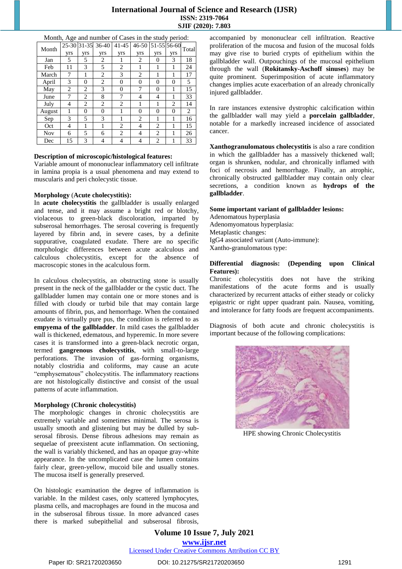## **International Journal of Science and Research (IJSR) ISSN: 2319-7064 SJIF (2020): 7.803**

|        | J   |          |                   |                |          |                   | $\sim$ 1 |       |
|--------|-----|----------|-------------------|----------------|----------|-------------------|----------|-------|
| Month  |     |          | 25-30 31-35 36-40 | $41 - 45$      |          | 46-50 51-55 56-60 |          | Total |
|        | yrs | yrs      | yrs               | yrs            | yrs      | yrs               | yrs      |       |
| Jan    | 5   | 5        | 2                 |                | 2        | 0                 | 3        | 18    |
| Feb    | 11  | 3        | 5                 | $\overline{c}$ |          | 1                 |          | 24    |
| March  | 7   | 1        | 2                 | 3              | 2        |                   |          | 17    |
| April  | 3   | $\Omega$ | 2                 | 0              | 0        | 0                 | $\Omega$ | 5     |
| May    | 2   | 2        | 3                 | 0              | 7        | $\theta$          |          | 15    |
| June   | 7   | 2        | 8                 | 7              | 4        | 4                 |          | 33    |
| July   | 4   | 2        | 2                 | 2              |          | 1                 | 2        | 14    |
| August |     | $\theta$ | 0                 |                | $\theta$ | 0                 | $\Omega$ | 2     |
| Sep    | 3   | 5        | 3                 |                | 2        | 1                 | 1        | 16    |
| Oct    | 4   |          |                   | 2              | 4        | 2                 |          | 15    |
| Nov    | 6   | 5        | 6                 | 2              | 4        | $\overline{c}$    |          | 26    |
| Dec    | 15  | 3        | 4                 | 4              | 4        | 2                 |          | 33    |

Month, Age and number of Cases in the study period:

#### **Description of microscopic/histological features:**

Variable amount of mononuclear inflammatory cell infiltrate in lamina propia is a usual phenomena and may extend to muscularis and peri cholecystic tissue.

#### **Morphology** (**Acute cholecystitis):**

In **acute cholecystitis** the gallbladder is usually enlarged and tense, and it may assume a bright red or blotchy, violaceous to green-black discoloration, imparted by subserosal hemorrhages. The serosal covering is frequently layered by fibrin and, in severe cases, by a definite suppurative, coagulated exudate. There are no specific morphologic differences between acute acalculous and calculous cholecystitis, except for the absence of macroscopic stones in the acalculous form.

In calculous cholecystitis, an obstructing stone is usually present in the neck of the gallbladder or the cystic duct. The gallbladder lumen may contain one or more stones and is filled with cloudy or turbid bile that may contain large amounts of fibrin, pus, and hemorrhage. When the contained exudate is virtually pure pus, the condition is referred to as **empyema of the gallbladder**. In mild cases the gallbladder wall is thickened, edematous, and hyperemic. In more severe cases it is transformed into a green-black necrotic organ, termed **gangrenous cholecystitis**, with small-to-large perforations. The invasion of gas-forming organisms, notably clostridia and coliforms, may cause an acute "emphysematous" cholecystitis. The inflammatory reactions are not histologically distinctive and consist of the usual patterns of acute inflammation.

#### **Morphology (Chronic cholecystitis)**

The morphologic changes in chronic cholecystitis are extremely variable and sometimes minimal. The serosa is usually smooth and glistening but may be dulled by subserosal fibrosis. Dense fibrous adhesions may remain as sequelae of preexistent acute inflammation. On sectioning, the wall is variably thickened, and has an opaque gray-white appearance. In the uncomplicated case the lumen contains fairly clear, green-yellow, mucoid bile and usually stones. The mucosa itself is generally preserved.

On histologic examination the degree of inflammation is variable. In the mildest cases, only scattered lymphocytes, plasma cells, and macrophages are found in the mucosa and in the subserosal fibrous tissue. In more advanced cases there is marked subepithelial and subserosal fibrosis, accompanied by mononuclear cell infiltration. Reactive proliferation of the mucosa and fusion of the mucosal folds may give rise to buried crypts of epithelium within the gallbladder wall. Outpouchings of the mucosal epithelium through the wall (**Rokitansky-Aschoff sinuses**) may be quite prominent. Superimposition of acute inflammatory changes implies acute exacerbation of an already chronically injured gallbladder.

In rare instances extensive dystrophic calcification within the gallbladder wall may yield a **porcelain gallbladder**, notable for a markedly increased incidence of associated cancer.

**Xanthogranulomatous cholecystitis** is also a rare condition in which the gallbladder has a massively thickened wall; organ is shrunken, nodular, and chronically inflamed with foci of necrosis and hemorrhage. Finally, an atrophic, chronically obstructed gallbladder may contain only clear secretions, a condition known as **hydrops of the gallbladder**.

#### **Some important variant of gallbladder lesions:**

Adenomatous hyperplasia Adenomyomatous hyperplasia: Metaplastic changes: IgG4 associated variant (Auto-immune): Xantho-granulomatous type:

#### **Differential diagnosis: (Depending upon Clinical Features):**

Chronic cholecystitis does not have the striking manifestations of the acute forms and is usually characterized by recurrent attacks of either steady or colicky epigastric or right upper quadrant pain. Nausea, vomiting, and intolerance for fatty foods are frequent accompaniments.

Diagnosis of both acute and chronic cholecystitis is important because of the following complications:



HPE showing Chronic Cholecystitis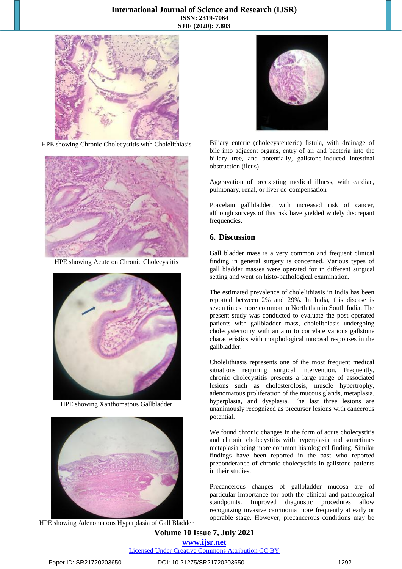## **International Journal of Science and Research (IJSR) ISSN: 2319-7064 SJIF (2020): 7.803**



HPE showing Chronic Cholecystitis with Cholelithiasis



HPE showing Acute on Chronic Cholecystitis



HPE showing Xanthomatous Gallbladder



HPE showing Adenomatous Hyperplasia of Gall Bladder



Biliary enteric (cholecystenteric) fistula, with drainage of bile into adjacent organs, entry of air and bacteria into the biliary tree, and potentially, gallstone-induced intestinal obstruction (ileus).

Aggravation of preexisting medical illness, with cardiac, pulmonary, renal, or liver de-compensation

Porcelain gallbladder, with increased risk of cancer, although surveys of this risk have yielded widely discrepant frequencies.

# **6. Discussion**

Gall bladder mass is a very common and frequent clinical finding in general surgery is concerned. Various types of gall bladder masses were operated for in different surgical setting and went on histo-pathological examination.

The estimated prevalence of cholelithiasis in India has been reported between 2% and 29%. In India, this disease is seven times more common in North than in South India. The present study was conducted to evaluate the post operated patients with gallbladder mass, cholelithiasis undergoing cholecystectomy with an aim to correlate various gallstone characteristics with morphological mucosal responses in the gallbladder.

Cholelithiasis represents one of the most frequent medical situations requiring surgical intervention. Frequently, chronic cholecystitis presents a large range of associated lesions such as cholesterolosis, muscle hypertrophy, adenomatous proliferation of the mucous glands, metaplasia, hyperplasia, and dysplasia. The last three lesions are unanimously recognized as precursor lesions with cancerous potential.

We found chronic changes in the form of acute cholecystitis and chronic cholecystitis with hyperplasia and sometimes metaplasia being more common histological finding. Similar findings have been reported in the past who reported preponderance of chronic cholecystitis in gallstone patients in their studies.

Precancerous changes of gallbladder mucosa are of particular importance for both the clinical and pathological standpoints. Improved diagnostic procedures allow recognizing invasive carcinoma more frequently at early or operable stage. However, precancerous conditions may be

**Volume 10 Issue 7, July 2021 www.ijsr.net** Licensed Under Creative Commons Attribution CC BY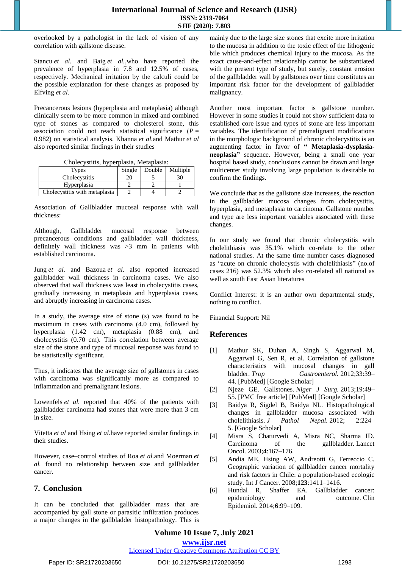overlooked by a pathologist in the lack of vision of any correlation with gallstone disease.

Stancu *et al.* and Baig *et al.*, who have reported the prevalence of hyperplasia in 7.8 and 12.5% of cases, respectively. Mechanical irritation by the calculi could be the possible explanation for these changes as proposed by Elfving *et al.*

Precancerous lesions (hyperplasia and metaplasia) although clinically seem to be more common in mixed and combined type of stones as compared to cholesterol stone, this association could not reach statistical significance  $(P =$ 0.982) on statistical analysis. Khanna *et al.*and Mathur *et al* also reported similar findings in their studies

Cholecystitis, hyperplasia, Metaplasia:

| Types                         | Single | Double | Multiple |
|-------------------------------|--------|--------|----------|
| Cholecystitis                 |        |        |          |
| Hyperplasia                   |        |        |          |
| Cholecystitis with metaplasia |        |        |          |

Association of Gallbladder mucosal response with wall thickness:

Although, Gallbladder mucosal response between precancerous conditions and gallbladder wall thickness, definitely wall thickness was >3 mm in patients with established carcinoma.

Jung *et al.* and Bazoua *et al.* also reported increased gallbladder wall thickness in carcinoma cases. We also observed that wall thickness was least in cholecystitis cases, gradually increasing in metaplasia and hyperplasia cases, and abruptly increasing in carcinoma cases.

In a study, the average size of stone (s) was found to be maximum in cases with carcinoma (4.0 cm), followed by hyperplasia (1.42 cm), metaplasia (0.88 cm), and cholecystitis (0.70 cm). This correlation between average size of the stone and type of mucosal response was found to be statistically significant.

Thus, it indicates that the average size of gallstones in cases with carcinoma was significantly more as compared to inflammation and premalignant lesions.

Lowenfels *et al.* reported that 40% of the patients with gallbladder carcinoma had stones that were more than 3 cm in size.

Vitetta *et al* and Hsing *et al.*have reported similar findings in their studies.

However, case–control studies of Roa *et al.*and Moerman *et al.* found no relationship between size and gallbladder cancer.

# **7. Conclusion**

It can be concluded that gallbladder mass that are accompanied by gall stone or parasitic infiltration produces a major changes in the gallbladder histopathology. This is mainly due to the large size stones that excite more irritation to the mucosa in addition to the toxic effect of the lithogenic bile which produces chemical injury to the mucosa. As the exact cause-and-effect relationship cannot be substantiated with the present type of study, but surely, constant erosion of the gallbladder wall by gallstones over time constitutes an important risk factor for the development of gallbladder malignancy.

Another most important factor is gallstone number. However in some studies it could not show sufficient data to established core issue and types of stone are less important variables. The identification of premalignant modifications in the morphologic background of chronic cholecystitis is an augmenting factor in favor of **" Metaplasia-dysplasianeoplasia"** sequence. However, being a small one year hospital based study, conclusions cannot be drawn and large multicenter study involving large population is desirable to confirm the findings.

We conclude that as the gallstone size increases, the reaction in the gallbladder mucosa changes from cholecystitis, hyperplasia, and metaplasia to carcinoma. Gallstone number and type are less important variables associated with these changes.

In our study we found that chronic cholecystitis with cholelithiasis was 35.1% which co-relate to the other national studies. At the same time number cases diagnosed as "acute on chronic cholecystis with cholelithiasis" (no.of cases 216) was 52.3% which also co-related all national as well as south East Asian literatures

Conflict Interest: it is an author own departmental study, nothing to conflict.

Financial Support: Nil

## **References**

- [1] Mathur SK, Duhan A, Singh S, Aggarwal M, Aggarwal G, Sen R, et al. Correlation of gallstone characteristics with mucosal changes in gall bladder. *Trop Gastroenterol.* 2012;33:39– 44. [\[PubMed\]](https://www.ncbi.nlm.nih.gov/pubmed/22803294) [\[Google Scholar\]](https://scholar.google.com/scholar_lookup?journal=Trop+Gastroenterol&title=Correlation+of+gallstone+characteristics+with+mucosal+changes+in+gall+bladder&author=SK+Mathur&author=A+Duhan&author=S+Singh&author=M+Aggarwal&author=G+Aggarwal&volume=33&publication_year=2012&pages=39-44&pmid=22803294&)
- [2] Njeze GE. Gallstones. *Niger J Surg.* 2013;19:49– 55. [\[PMC free article\]](https://www.ncbi.nlm.nih.gov/pmc/articles/PMC3899548/) [\[PubMed\]](https://www.ncbi.nlm.nih.gov/pubmed/24497751) [\[Google Scholar\]](https://scholar.google.com/scholar_lookup?journal=Niger+J+Surg&title=Gallstones&author=GE+Njeze&volume=19&publication_year=2013&pages=49-55&pmid=24497751&)
- [3] Baidya R, Sigdel B, Baidya NL. Histopathological changes in gallbladder mucosa associated with cholelithiasis. *J Pathol Nepal.* 2012; 2:224– 5. [Google [Scholar\]](https://scholar.google.com/scholar_lookup?journal=J+Pathol+Nepal&title=Histopathological+changes+in+gallbladder+mucosa+associated+with+cholelithiasis&author=R+Baidya&author=B+Sigdel&author=NL+Baidya&volume=2&publication_year=2012&pages=224-5&)
- [4] Misra S, Chaturvedi A, Misra NC, Sharma ID. Carcinoma of the gallbladder. Lancet Oncol. 2003;**4**:167–176.
- [5] Andia ME, Hsing AW, Andreotti G, Ferreccio C. Geographic variation of gallbladder cancer mortality and risk factors in Chile: a population-based ecologic study. Int J Cancer. 2008;**123**:1411–1416.
- [6] Hundal R, Shaffer EA. Gallbladder cancer: epidemiology and outcome. Clin Epidemiol. 2014;**6**:99–109.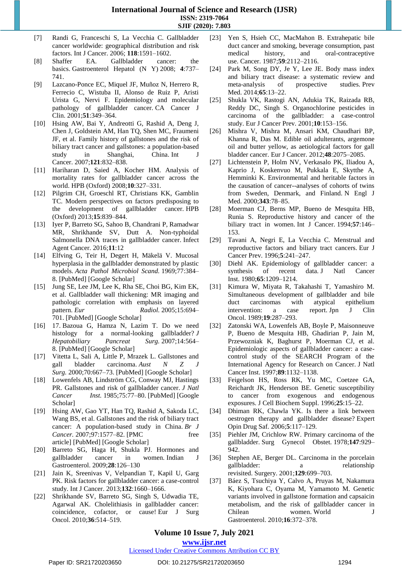- [7] Randi G, Franceschi S, La Vecchia C. Gallbladder cancer worldwide: geographical distribution and risk factors. Int J Cancer. 2006; **118**:1591–1602.
- [8] Shaffer EA. Gallbladder cancer: the basics. Gastroenterol Hepatol (N Y) 2008; **4**:737– 741.
- [9] Lazcano-Ponce EC, Miquel JF, Muñoz N, Herrero R, Ferrecio C, Wistuba II, Alonso de Ruiz P, Aristi Urista G, Nervi F. Epidemiology and molecular pathology of gallbladder cancer. CA Cancer J Clin. 2001;**51**:349–364.
- [10] Hsing AW, Bai Y, Andreotti G, Rashid A, Deng J, Chen J, Goldstein AM, Han TQ, Shen MC, Fraumeni JF, et al. Family history of gallstones and the risk of biliary tract cancer and gallstones: a population-based study in Shanghai, China. Int J Cancer. 2007;**121**:832–838.
- [11] Hariharan D, Saied A, Kocher HM. Analysis of mortality rates for gallbladder cancer across the world. HPB (Oxford) 2008;**10**:327–331.
- [12] Pilgrim CH, Groeschl RT, Christians KK, Gamblin TC. Modern perspectives on factors predisposing to the development of gallbladder cancer. HPB (Oxford) 2013;**15**:839–844.
- [13] Iyer P, Barreto SG, Sahoo B, Chandrani P, Ramadwar MR, Shrikhande SV, Dutt A. Non-typhoidal Salmonella DNA traces in gallbladder cancer. Infect Agent Cancer. 2016;**11**:12
- [14] Elfving G, Teir H, Degert H, Mäkelä V. Mucosal hyperplasia in the gallbladder demonstrated by plastic models. *Acta Pathol Microbiol Scand.* 1969;77:384– 8. [\[PubMed\]](https://www.ncbi.nlm.nih.gov/pubmed/5383713) [\[Google Scholar\]](https://scholar.google.com/scholar_lookup?journal=Acta+Pathol+Microbiol+Scand&title=Mucosal+hyperplasia+in+the+gallbladder+demonstrated+by+plastic+models&author=G+Elfving&author=H+Teir&author=H+Degert&author=V+M%C3%A4kel%C3%A4&volume=77&publication_year=1969&pages=384-8&pmid=5383713&)
- [15] Jung SE, Lee JM, Lee K, Rha SE, Choi BG, Kim EK, et al. Gallbladder wall thickening: MR imaging and pathologic correlation with emphasis on layered pattern. *Eur Radiol.* 2005;15:694– 701. [\[PubMed\]](https://www.ncbi.nlm.nih.gov/pubmed/15565318) [\[Google Scholar\]](https://scholar.google.com/scholar_lookup?journal=Eur+Radiol&title=Gallbladder+wall+thickening:+MR+imaging+and+pathologic+correlation+with+emphasis+on+layered+pattern&author=SE+Jung&author=JM+Lee&author=K+Lee&author=SE+Rha&author=BG+Choi&volume=15&publication_year=2005&pages=694-701&pmid=15565318&)
- [16] 17. Bazoua G, Hamza N, Lazim T. Do we need histology for a normal-looking gallbladder? *J Hepatobiliary Pancreat Surg.* 2007;14:564– 8. [\[PubMed\]](https://www.ncbi.nlm.nih.gov/pubmed/18040621) [\[Google Scholar\]](https://scholar.google.com/scholar_lookup?journal=J+Hepatobiliary+Pancreat+Surg&title=Do+we+need+histology+for+a+normal-looking+gallbladder?&author=G+Bazoua&author=N+Hamza&author=T+Lazim&volume=14&publication_year=2007&pages=564-8&pmid=18040621&)
- [17] Vitetta L, Sali A, Little P, Mrazek L. Gallstones and gall bladder carcinoma. *Aust N Z J Surg.* 2000;70:667–73. [\[PubMed\]](https://www.ncbi.nlm.nih.gov/pubmed/10976897) [\[Google Scholar\]](https://scholar.google.com/scholar_lookup?journal=Aust+N+Z+J+Surg&title=Gallstones+and+gall+bladder+carcinoma&author=L+Vitetta&author=A+Sali&author=P+Little&author=L+Mrazek&volume=70&publication_year=2000&pages=667-73&pmid=10976897&)
- [18] Lowenfels AB, Lindström CG, Conway MJ, Hastings PR. Gallstones and risk of gallbladder cancer. *J Natl Cancer Inst.* 1985;75:77–80. [\[PubMed\]](https://www.ncbi.nlm.nih.gov/pubmed/3859698) [\[Google](https://scholar.google.com/scholar_lookup?journal=J+Natl+Cancer+Inst&title=Gallstones+and+risk+of+gallbladder+cancer&author=AB+Lowenfels&author=CG+Lindstr%C3%B6m&author=MJ+Conway&author=PR+Hastings&volume=75&publication_year=1985&pages=77-80&pmid=3859698&)  [Scholar\]](https://scholar.google.com/scholar_lookup?journal=J+Natl+Cancer+Inst&title=Gallstones+and+risk+of+gallbladder+cancer&author=AB+Lowenfels&author=CG+Lindstr%C3%B6m&author=MJ+Conway&author=PR+Hastings&volume=75&publication_year=1985&pages=77-80&pmid=3859698&)
- [19] Hsing AW, Gao YT, Han TQ, Rashid A, Sakoda LC, Wang BS, et al. Gallstones and the risk of biliary tract cancer: A population-based study in China. *Br J Cancer.* 2007;97:1577–82. [PMC free [article\]](https://www.ncbi.nlm.nih.gov/pmc/articles/PMC2360257/) [\[PubMed\]](https://www.ncbi.nlm.nih.gov/pubmed/18000509) [\[Google Scholar\]](https://scholar.google.com/scholar_lookup?journal=Br+J+Cancer&title=Gallstones+and+the+risk+of+biliary+tract+cancer:+A+population-based+study+in+China&author=AW+Hsing&author=YT+Gao&author=TQ+Han&author=A+Rashid&author=LC+Sakoda&volume=97&publication_year=2007&pages=1577-82&pmid=18000509&)
- [20] Barreto SG, Haga H, Shukla PJ. Hormones and gallbladder cancer in women. Indian J Gastroenterol. 2009;**28**:126–130
- [21] Jain K, Sreenivas V, Velpandian T, Kapil U, Garg PK. Risk factors for gallbladder cancer: a case-control study. Int J Cancer. 2013;**132**:1660–1666.
- [22] Shrikhande SV, Barreto SG, Singh S, Udwadia TE, Agarwal AK. Cholelithiasis in gallbladder cancer: coincidence, cofactor, or cause! Eur J Surg Oncol. 2010;**36**:514–519.
- [23] Yen S, Hsieh CC, MacMahon B. Extrahepatic bile duct cancer and smoking, beverage consumption, past medical history, and oral-contraceptive use. Cancer. 1987;**59**:2112–2116.
- [24] Park M, Song DY, Je Y, Lee JE. Body mass index and biliary tract disease: a systematic review and meta-analysis of prospective studies. Prev Med. 2014;**65**:13–22.
- [25] Shukla VK, Rastogi AN, Adukia TK, Raizada RB, Reddy DC, Singh S. Organochlorine pesticides in carcinoma of the gallbladder: a case-control study. Eur J Cancer Prev. 2001;**10**:153–156.
- [26] Mishra V, Mishra M, Ansari KM, Chaudhari BP, Khanna R, Das M. Edible oil adulterants, argemone oil and butter yellow, as aetiological factors for gall bladder cancer. Eur J Cancer. 2012;**48**:2075–2085.
- [27] Lichtenstein P, Holm NV, Verkasalo PK, Iliadou A, Kaprio J, Koskenvuo M, Pukkala E, Skytthe A, Hemminki K. Environmental and heritable factors in the causation of cancer--analyses of cohorts of twins from Sweden, Denmark, and Finland. N Engl J Med. 2000;**343**:78–85.
- [28] Moerman CJ, Berns MP, Bueno de Mesquita HB, Runia S. Reproductive history and cancer of the biliary tract in women. Int J Cancer. 1994;**57**:146– 153.
- [29] Tavani A, Negri E, La Vecchia C. Menstrual and reproductive factors and biliary tract cancers. Eur J Cancer Prev. 1996;**5**:241–247.
- [30] Diehl AK. Epidemiology of gallbladder cancer: a synthesis of recent data. J Natl Cancer Inst. 1980;**65**:1209–1214.
- [31] Kimura W, Miyata R, Takahashi T, Yamashiro M. Simultaneous development of gallbladder and bile duct carcinomas with atypical epithelium intervention: a case report. Jpn J Clin Oncol. 1989;**19**:287–293.
- [32] Zatonski WA, Lowenfels AB, Boyle P, Maisonneuve P, Bueno de Mesquita HB, Ghadirian P, Jain M, Przewozniak K, Baghurst P, Moerman CJ, et al. Epidemiologic aspects of gallbladder cancer: a casecontrol study of the SEARCH Program of the International Agency for Research on Cancer. J Natl Cancer Inst. 1997;**89**:1132–1138.
- [33] Feigelson HS, Ross RK, Yu MC, Coetzee GA, Reichardt JK, Henderson BE. Genetic susceptibility to cancer from exogenous and endogenous exposures. J Cell Biochem Suppl. 1996;**25**:15–22.
- [34] Dhiman RK, Chawla YK. Is there a link between oestrogen therapy and gallbladder disease? Expert Opin Drug Saf. 2006;**5**:117–129.
- [35] Piehler JM, Crichlow RW. Primary carcinoma of the gallbladder. Surg Gynecol Obstet. 1978;**147**:929– 942.
- [36] Stephen AE, Berger DL. Carcinoma in the porcelain gallbladder: a relationship revisited. Surgery. 2001;**129**:699–703.
- [37] Báez S, Tsuchiya Y, Calvo A, Pruyas M, Nakamura K, Kiyohara C, Oyama M, Yamamoto M. Genetic variants involved in gallstone formation and capsaicin metabolism, and the risk of gallbladder cancer in Chilean women. World J Gastroenterol. 2010;**16**:372–378.

# **Volume 10 Issue 7, July 2021**

**www.ijsr.net**